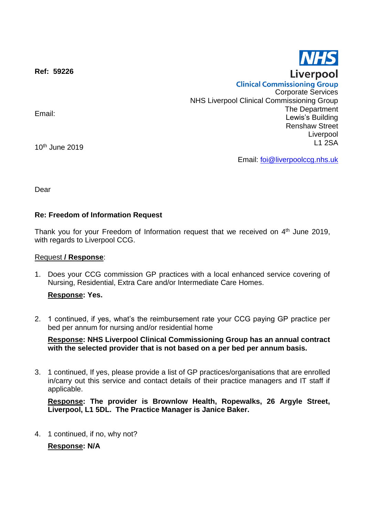**Ref: 59226**

Email:

10th June 2019

Email: [foi@liverpoolccg.nhs.uk](mailto:foi@liverpoolccg.nhs.uk)

Dear

## **Re: Freedom of Information Request**

Thank you for your Freedom of Information request that we received on 4<sup>th</sup> June 2019, with regards to Liverpool CCG.

### Request **/ Response**:

1. Does your CCG commission GP practices with a local enhanced service covering of Nursing, Residential, Extra Care and/or Intermediate Care Homes.

### **Response: Yes.**

2. 1 continued, if yes, what's the reimbursement rate your CCG paying GP practice per bed per annum for nursing and/or residential home

**Response: NHS Liverpool Clinical Commissioning Group has an annual contract with the selected provider that is not based on a per bed per annum basis.**

3. 1 continued, If yes, please provide a list of GP practices/organisations that are enrolled in/carry out this service and contact details of their practice managers and IT staff if applicable.

**Response: The provider is Brownlow Health, Ropewalks, 26 Argyle Street, Liverpool, L1 5DL. The Practice Manager is Janice Baker.**

4. 1 continued, if no, why not?

**Response: N/A**



**Clinical Commissioning Group** Corporate Services NHS Liverpool Clinical Commissioning Group The Department Lewis's Building Renshaw Street Liverpool L1 2SA